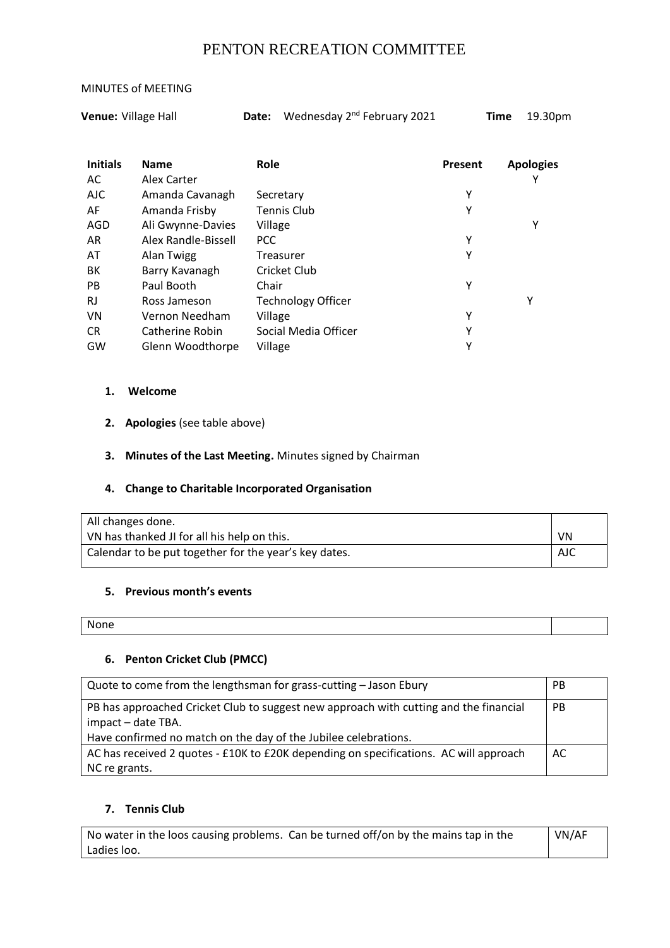# PENTON RECREATION COMMITTEE

#### MINUTES of MEETING

**Venue:** Village Hall **Date:** Wednesday 2<sup>nd</sup> February 2021 **Time** 19.30pm

| <b>Initials</b><br>AC | <b>Name</b><br>Alex Carter | <b>Role</b>               | Present | <b>Apologies</b> |
|-----------------------|----------------------------|---------------------------|---------|------------------|
| <b>AJC</b>            | Amanda Cavanagh            | Secretary                 | Υ       |                  |
| AF                    | Amanda Frisby              | <b>Tennis Club</b>        | Υ       |                  |
| AGD                   | Ali Gwynne-Davies          | Village                   |         | Υ                |
| AR                    | Alex Randle-Bissell        | <b>PCC</b>                | Υ       |                  |
| AT                    | Alan Twigg                 | Treasurer                 | Υ       |                  |
| BK                    | Barry Kavanagh             | Cricket Club              |         |                  |
| <b>PB</b>             | Paul Booth                 | Chair                     | Υ       |                  |
| RJ                    | Ross Jameson               | <b>Technology Officer</b> |         | Υ                |
| VN                    | Vernon Needham             | Village                   | Υ       |                  |
| <b>CR</b>             | Catherine Robin            | Social Media Officer      | Υ       |                  |
| GW                    | Glenn Woodthorpe           | Village                   | Υ       |                  |

### **1. Welcome**

**2. Apologies** (see table above)

### **3. Minutes of the Last Meeting.** Minutes signed by Chairman

### **4. Change to Charitable Incorporated Organisation**

| All changes done.                                     |     |
|-------------------------------------------------------|-----|
| VN has thanked JI for all his help on this.           | VN. |
| Calendar to be put together for the year's key dates. | AJC |

### **5. Previous month's events**

| --<br><b>NOOO</b> |  |
|-------------------|--|
|                   |  |

### **6. Penton Cricket Club (PMCC)**

| Quote to come from the lengthsman for grass-cutting - Jason Ebury                                           | <b>PB</b> |
|-------------------------------------------------------------------------------------------------------------|-----------|
| PB has approached Cricket Club to suggest new approach with cutting and the financial<br>impact - date TBA. | <b>PB</b> |
| Have confirmed no match on the day of the Jubilee celebrations.                                             |           |
| AC has received 2 quotes - £10K to £20K depending on specifications. AC will approach                       | AC        |
| NC re grants.                                                                                               |           |

### **7. Tennis Club**

No water in the loos causing problems. Can be turned off/on by the mains tap in the Ladies loo. VN/AF